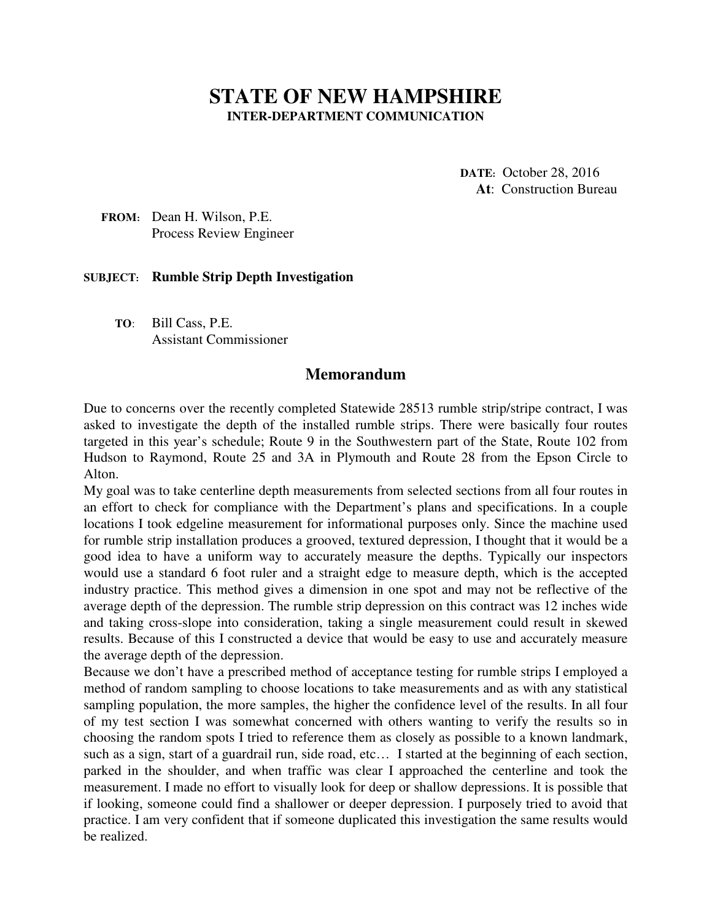## **STATE OF NEW HAMPSHIRE INTER-DEPARTMENT COMMUNICATION**

**DATE:** October 28, 2016 **At**: Construction Bureau

 **FROM:** Dean H. Wilson, P.E. Process Review Engineer

## **SUBJECT: Rumble Strip Depth Investigation**

**TO**: Bill Cass, P.E. Assistant Commissioner

## **Memorandum**

Due to concerns over the recently completed Statewide 28513 rumble strip/stripe contract, I was asked to investigate the depth of the installed rumble strips. There were basically four routes targeted in this year's schedule; Route 9 in the Southwestern part of the State, Route 102 from Hudson to Raymond, Route 25 and 3A in Plymouth and Route 28 from the Epson Circle to Alton.

My goal was to take centerline depth measurements from selected sections from all four routes in an effort to check for compliance with the Department's plans and specifications. In a couple locations I took edgeline measurement for informational purposes only. Since the machine used for rumble strip installation produces a grooved, textured depression, I thought that it would be a good idea to have a uniform way to accurately measure the depths. Typically our inspectors would use a standard 6 foot ruler and a straight edge to measure depth, which is the accepted industry practice. This method gives a dimension in one spot and may not be reflective of the average depth of the depression. The rumble strip depression on this contract was 12 inches wide and taking cross-slope into consideration, taking a single measurement could result in skewed results. Because of this I constructed a device that would be easy to use and accurately measure the average depth of the depression.

Because we don't have a prescribed method of acceptance testing for rumble strips I employed a method of random sampling to choose locations to take measurements and as with any statistical sampling population, the more samples, the higher the confidence level of the results. In all four of my test section I was somewhat concerned with others wanting to verify the results so in choosing the random spots I tried to reference them as closely as possible to a known landmark, such as a sign, start of a guardrail run, side road, etc… I started at the beginning of each section, parked in the shoulder, and when traffic was clear I approached the centerline and took the measurement. I made no effort to visually look for deep or shallow depressions. It is possible that if looking, someone could find a shallower or deeper depression. I purposely tried to avoid that practice. I am very confident that if someone duplicated this investigation the same results would be realized.